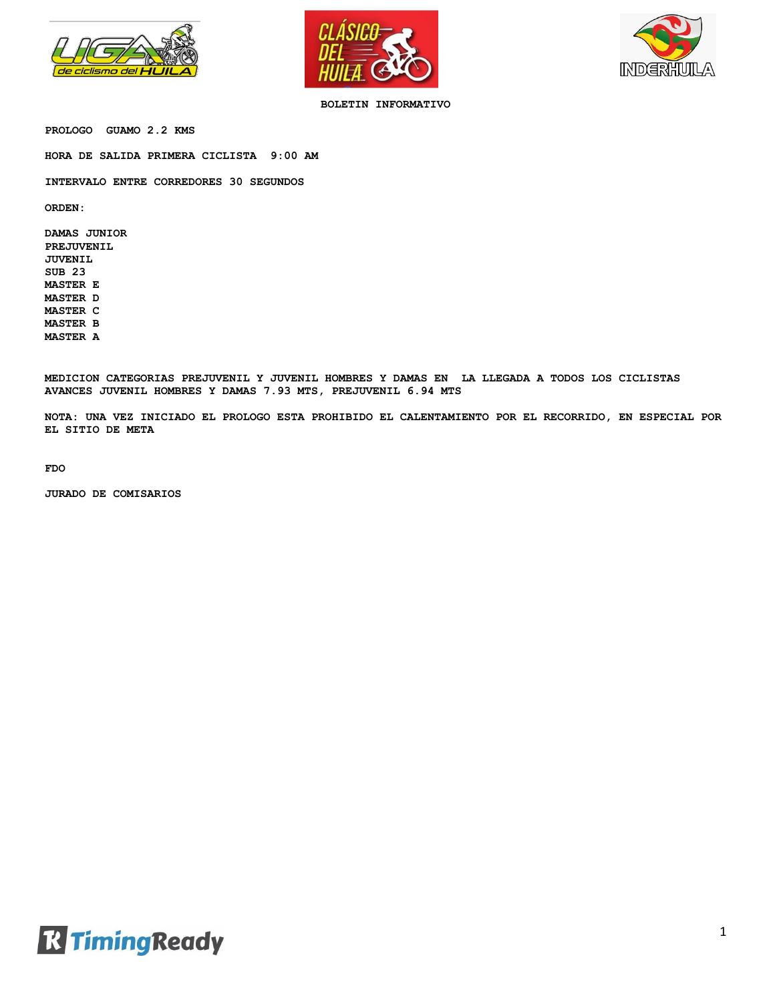





**BOLETIN INFORMATIVO**

**PROLOGO GUAMO 2.2 KMS**

**HORA DE SALIDA PRIMERA CICLISTA 9:00 AM**

**INTERVALO ENTRE CORREDORES 30 SEGUNDOS**

**ORDEN:**

**DAMAS JUNIOR PREJUVENIL JUVENIL SUB 23 MASTER E MASTER D MASTER C MASTER B MASTER A**

**MEDICION CATEGORIAS PREJUVENIL Y JUVENIL HOMBRES Y DAMAS EN LA LLEGADA A TODOS LOS CICLISTAS AVANCES JUVENIL HOMBRES Y DAMAS 7.93 MTS, PREJUVENIL 6.94 MTS**

**NOTA: UNA VEZ INICIADO EL PROLOGO ESTA PROHIBIDO EL CALENTAMIENTO POR EL RECORRIDO, EN ESPECIAL POR EL SITIO DE META**

**FDO**

**JURADO DE COMISARIOS**

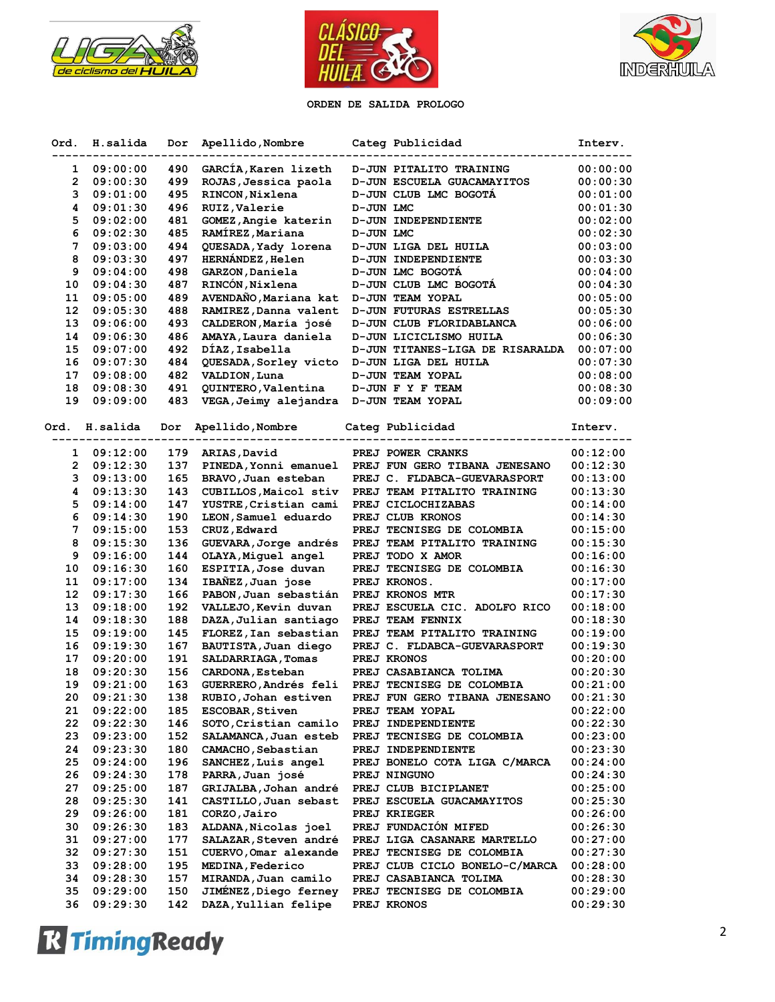





## **ORDEN DE SALIDA PROLOGO**

| Ord. | H.salida | Dor | Apellido, Nombre        | Categ Publicidad                | Interv.  |
|------|----------|-----|-------------------------|---------------------------------|----------|
| 1    | 09:00:00 | 490 | GARCÍA, Karen lizeth    | D-JUN PITALITO TRAINING         | 00:00:00 |
| 2    | 09:00:30 | 499 | ROJAS, Jessica paola    | D-JUN ESCUELA GUACAMAYITOS      | 00:00:30 |
| 3    | 09:01:00 | 495 | RINCON, Nixlena         | D-JUN CLUB LMC BOGOTA           | 00:01:00 |
| 4    | 09:01:30 | 496 | RUIZ, Valerie           | D-JUN LMC                       | 00:01:30 |
| 5    | 09:02:00 | 481 | GOMEZ, Angie katerin    | D-JUN INDEPENDIENTE             | 00:02:00 |
| 6    | 09:02:30 | 485 | RAMÍREZ, Mariana        | D-JUN LMC                       | 00:02:30 |
| 7    | 09:03:00 | 494 | QUESADA, Yady lorena    | D-JUN LIGA DEL HUILA            | 00:03:00 |
| 8    | 09:03:30 | 497 | <b>HERNÁNDEZ, Helen</b> | D-JUN INDEPENDIENTE             | 00:03:30 |
| 9    | 09:04:00 | 498 | GARZON, Daniela         | D-JUN LMC BOGOTA                | 00:04:00 |
| 10   | 09:04:30 | 487 | RINCÓN, Nixlena         | D-JUN CLUB LMC BOGOTÁ           | 00:04:30 |
| 11   | 09:05:00 | 489 | AVENDAÑO, Mariana kat   | <b>D-JUN TEAM YOPAL</b>         | 00:05:00 |
| 12   | 09:05:30 | 488 | RAMIREZ, Danna valent   | <b>D-JUN FUTURAS ESTRELLAS</b>  | 00:05:30 |
| 13   | 09:06:00 | 493 | CALDERON, María josé    | D-JUN CLUB FLORIDABLANCA        | 00:06:00 |
| 14   | 09:06:30 | 486 | AMAYA, Laura daniela    | D-JUN LICICLISMO HUILA          | 00:06:30 |
| 15   | 09:07:00 | 492 | DÍAZ, Isabella          | D-JUN TITANES-LIGA DE RISARALDA | 00:07:00 |
| 16   | 09:07:30 | 484 | QUESADA, Sorley victo   | D-JUN LIGA DEL HUILA            | 00:07:30 |
| 17   | 09:08:00 | 482 | VALDION, Luna           | D-JUN TEAM YOPAL                | 00:08:00 |
| 18   | 09:08:30 | 491 | QUINTERO, Valentina     | D-JUN F Y F TEAM                | 00:08:30 |
| 19   | 09:09:00 | 483 | VEGA, Jeimy alejandra   | D-JUN TEAM YOPAL                | 00:09:00 |
|      |          |     |                         |                                 |          |
| Ord. | H.salida | Dor | Apellido, Nombre        | Categ Publicidad                | Interv.  |
| 1    | 09:12:00 | 179 | ARIAS, David            | PREJ POWER CRANKS               | 00:12:00 |
| 2    | 09:12:30 | 137 | PINEDA, Yonni emanuel   | PREJ FUN GERO TIBANA JENESANO   | 00:12:30 |
| 3    | 09:13:00 | 165 | BRAVO, Juan esteban     | PREJ C. FLDABCA-GUEVARASPORT    | 00:13:00 |
| 4    | 09:13:30 | 143 | CUBILLOS, Maicol stiv   | PREJ TEAM PITALITO TRAINING     | 00:13:30 |
| 5    | 09:14:00 | 147 | YUSTRE, Cristian cami   | PREJ CICLOCHIZABAS              | 00:14:00 |
| 6    | 09:14:30 | 190 | LEON, Samuel eduardo    | PREJ CLUB KRONOS                | 00:14:30 |
| 7    | 09:15:00 | 153 | CRUZ, Edward            | PREJ TECNISEG DE COLOMBIA       | 00:15:00 |
| 8    | 09:15:30 | 136 | GUEVARA, Jorge andrés   | PREJ TEAM PITALITO TRAINING     | 00:15:30 |
| 9    | 09:16:00 | 144 | OLAYA, Miguel angel     | PREJ TODO X AMOR                | 00:16:00 |
| 10   | 09:16:30 | 160 | ESPITIA, Jose duvan     | PREJ TECNISEG DE COLOMBIA       | 00:16:30 |
| 11   | 09:17:00 | 134 | IBAÑEZ, Juan jose       | PREJ KRONOS.                    | 00:17:00 |
| 12   | 09:17:30 | 166 | PABON, Juan sebastián   | PREJ KRONOS MTR                 | 00:17:30 |
| 13   | 09:18:00 | 192 | VALLEJO, Kevin duvan    | PREJ ESCUELA CIC. ADOLFO RICO   | 00:18:00 |
| 14   | 09:18:30 | 188 | DAZA, Julian santiago   | PREJ TEAM FENNIX                | 00:18:30 |
| 15   | 09:19:00 | 145 | FLOREZ, Ian sebastian   | PREJ TEAM PITALITO TRAINING     | 00:19:00 |
| 16   | 09:19:30 | 167 | BAUTISTA, Juan diego    | PREJ C. FLDABCA-GUEVARASPORT    | 00:19:30 |
| 17   | 09:20:00 | 191 | SALDARRIAGA, Tomas      | PREJ KRONOS                     | 00:20:00 |
| 18   | 09:20:30 | 156 | CARDONA, Esteban        | PREJ CASABIANCA TOLIMA          | 00:20:30 |
| 19   | 09:21:00 | 163 | GUERRERO, Andrés feli   | PREJ TECNISEG DE COLOMBIA       | 00:21:00 |
| 20   | 09:21:30 | 138 | RUBIO, Johan estiven    | PREJ FUN GERO TIBANA JENESANO   | 00:21:30 |
| 21   | 09:22:00 | 185 | <b>ESCOBAR, Stiven</b>  | <b>PREJ TEAM YOPAL</b>          | 00:22:00 |
| 22   | 09:22:30 | 146 | SOTO,Cristian camilo    | PREJ INDEPENDIENTE              | 00:22:30 |
| 23   | 09:23:00 | 152 | SALAMANCA, Juan esteb   | PREJ TECNISEG DE COLOMBIA       | 00:23:00 |
| 24   | 09:23:30 | 180 | CAMACHO, Sebastian      | PREJ INDEPENDIENTE              | 00:23:30 |
| 25   | 09:24:00 | 196 | SANCHEZ, Luis angel     | PREJ BONELO COTA LIGA C/MARCA   | 00:24:00 |
| 26   | 09:24:30 | 178 | PARRA, Juan josé        | PREJ NINGUNO                    | 00:24:30 |
| 27   | 09:25:00 | 187 | GRIJALBA, Johan andré   | PREJ CLUB BICIPLANET            | 00:25:00 |
| 28   | 09:25:30 | 141 | CASTILLO, Juan sebast   | PREJ ESCUELA GUACAMAYITOS       | 00:25:30 |
| 29   | 09:26:00 | 181 | CORZO, Jairo            | PREJ KRIEGER                    | 00:26:00 |
| 30   | 09:26:30 | 183 | ALDANA, Nicolas joel    | PREJ FUNDACIÓN MIFED            | 00:26:30 |
| 31   | 09:27:00 | 177 | SALAZAR, Steven andré   | PREJ LIGA CASANARE MARTELLO     | 00:27:00 |
| 32   | 09:27:30 | 151 | CUERVO, Omar alexande   | PREJ TECNISEG DE COLOMBIA       | 00:27:30 |
| 33   | 09:28:00 | 195 | MEDINA, Federico        | PREJ CLUB CICLO BONELO-C/MARCA  | 00:28:00 |
| 34   | 09:28:30 | 157 | MIRANDA, Juan camilo    | PREJ CASABIANCA TOLIMA          | 00:28:30 |
| 35   | 09:29:00 | 150 | JIMENEZ, Diego ferney   | PREJ TECNISEG DE COLOMBIA       | 00:29:00 |
| 36   | 09:29:30 | 142 | DAZA, Yullian felipe    | PREJ KRONOS                     | 00:29:30 |
|      |          |     |                         |                                 |          |

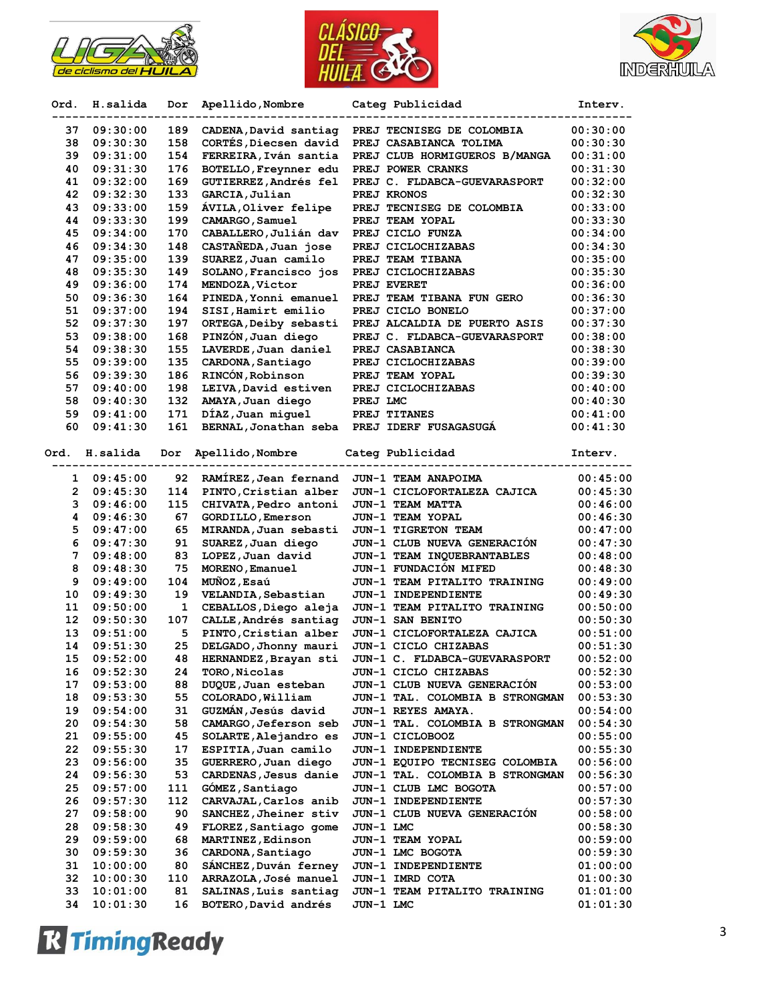





| Ord. | H.salida | Dor | Apellido, Nombre         | Categ Publicidad                | Interv.  |
|------|----------|-----|--------------------------|---------------------------------|----------|
|      |          |     |                          |                                 |          |
| 37   | 09:30:00 | 189 | CADENA, David santiaq    | PREJ TECNISEG DE COLOMBIA       | 00:30:00 |
| 38   | 09:30:30 | 158 | CORTÉS, Diecsen david    | PREJ CASABIANCA TOLIMA          | 00:30:30 |
| 39   | 09:31:00 | 154 | FERREIRA, Iván santia    | PREJ CLUB HORMIGUEROS B/MANGA   | 00:31:00 |
| 40   | 09:31:30 | 176 | BOTELLO, Freynner edu    | PREJ POWER CRANKS               | 00:31:30 |
| 41   | 09:32:00 | 169 | GUTIERREZ, Andrés fel    | PREJ C. FLDABCA-GUEVARASPORT    | 00:32:00 |
| 42   | 09:32:30 | 133 | GARCIA, Julian           | PREJ KRONOS                     | 00:32:30 |
| 43   | 09:33:00 | 159 | AVILA, Oliver felipe     | PREJ TECNISEG DE COLOMBIA       | 00:33:00 |
| 44   | 09:33:30 | 199 | CAMARGO, Samuel          | PREJ TEAM YOPAL                 | 00:33:30 |
|      |          |     |                          |                                 |          |
| 45   | 09:34:00 | 170 | CABALLERO, Julián dav    | PREJ CICLO FUNZA                | 00:34:00 |
| 46   | 09:34:30 | 148 | CASTAÑEDA, Juan jose     | PREJ CICLOCHIZABAS              | 00:34:30 |
| 47   | 09:35:00 | 139 | SUAREZ, Juan camilo      | PREJ TEAM TIBANA                | 00:35:00 |
| 48   | 09:35:30 | 149 | SOLANO, Francisco jos    | PREJ CICLOCHIZABAS              | 00:35:30 |
| 49   | 09:36:00 | 174 | MENDOZA, Victor          | PREJ EVERET                     | 00:36:00 |
| 50   | 09:36:30 | 164 | PINEDA, Yonni emanuel    | PREJ TEAM TIBANA FUN GERO       | 00:36:30 |
| 51   | 09:37:00 | 194 | SISI, Hamirt emilio      | PREJ CICLO BONELO               | 00:37:00 |
| 52   | 09:37:30 | 197 | ORTEGA, Deiby sebasti    | PREJ ALCALDIA DE PUERTO ASIS    | 00:37:30 |
| 53   | 09:38:00 | 168 | PINZÓN, Juan diego       | PREJ C. FLDABCA-GUEVARASPORT    | 00:38:00 |
| 54   | 09:38:30 | 155 | LAVERDE, Juan daniel     | PREJ CASABIANCA                 | 00:38:30 |
| 55   | 09:39:00 | 135 | CARDONA, Santiago        | PREJ CICLOCHIZABAS              | 00:39:00 |
| 56   | 09:39:30 | 186 | RINCÓN, Robinson         | PREJ TEAM YOPAL                 | 00:39:30 |
| 57   | 09:40:00 | 198 | LEIVA, David estiven     | PREJ CICLOCHIZABAS              | 00:40:00 |
|      |          |     |                          |                                 |          |
| 58   | 09:40:30 | 132 | AMAYA, Juan diego        | PREJ LMC                        | 00:40:30 |
| 59   | 09:41:00 | 171 | DÍAZ, Juan miguel        | PREJ TITANES                    | 00:41:00 |
| 60   | 09:41:30 | 161 | BERNAL, Jonathan seba    | PREJ IDERF FUSAGASUGÁ           | 00:41:30 |
| Ord. | H.salida | Dor | Apellido, Nombre         | Categ Publicidad                | Interv.  |
|      |          |     |                          |                                 |          |
| 1    | 09:45:00 | 92  | RAMIREZ, Jean fernand    | JUN-1 TEAM ANAPOIMA             | 00:45:00 |
| 2    | 09:45:30 | 114 | PINTO, Cristian alber    | JUN-1 CICLOFORTALEZA CAJICA     | 00:45:30 |
| 3    | 09:46:00 | 115 | CHIVATA, Pedro antoni    | <b>JUN-1 TEAM MATTA</b>         | 00:46:00 |
| 4    | 09:46:30 | 67  | <b>GORDILLO, Emerson</b> | JUN-1 TEAM YOPAL                | 00:46:30 |
| 5    | 09:47:00 | 65  | MIRANDA, Juan sebasti    | JUN-1 TIGRETON TEAM             | 00:47:00 |
| 6    | 09:47:30 | 91  | SUAREZ, Juan diego       | JUN-1 CLUB NUEVA GENERACION     | 00:47:30 |
| 7    | 09:48:00 | 83  | LOPEZ, Juan david        | JUN-1 TEAM INQUEBRANTABLES      | 00:48:00 |
| 8    | 09:48:30 | 75  | MORENO, Emanuel          | JUN-1 FUNDACIÓN MIFED           | 00:48:30 |
| 9    | 09:49:00 | 104 | MUÑOZ, Esaú              | JUN-1 TEAM PITALITO TRAINING    | 00:49:00 |
| 10   | 09:49:30 | 19  | VELANDIA, Sebastian      | JUN-1 INDEPENDIENTE             | 00:49:30 |
| 11   | 09:50:00 | 1   | CEBALLOS, Diego aleja    | JUN-1 TEAM PITALITO TRAINING    | 00:50:00 |
| 12   |          | 107 | CALLE, Andrés santiag    |                                 |          |
|      | 09:50:30 |     |                          | JUN-1 SAN BENITO                | 00:50:30 |
| 13   | 09:51:00 | 5   | PINTO, Cristian alber    | JUN-1 CICLOFORTALEZA CAJICA     | 00:51:00 |
| 14   | 09:51:30 | 25  | DELGADO, Jhonny mauri    | JUN-1 CICLO CHIZABAS            | 00:51:30 |
| 15   | 09:52:00 | 48  | HERNANDEZ, Brayan sti    | JUN-1 C. FLDABCA-GUEVARASPORT   | 00:52:00 |
| 16   | 09:52:30 | 24  | TORO, Nicolas            | JUN-1 CICLO CHIZABAS            | 00:52:30 |
| 17   | 09:53:00 | 88  | DUQUE, Juan esteban      | JUN-1 CLUB NUEVA GENERACION     | 00:53:00 |
| 18   | 09:53:30 | 55  | COLORADO, William        | JUN-1 TAL. COLOMBIA B STRONGMAN | 00:53:30 |
| 19   | 09:54:00 | 31  | GUZMAN, Jesús david      | JUN-1 REYES AMAYA.              | 00:54:00 |
| 20   | 09:54:30 | 58  | CAMARGO, Jeferson seb    | JUN-1 TAL. COLOMBIA B STRONGMAN | 00:54:30 |
| 21   | 09:55:00 | 45  | SOLARTE, Alejandro es    | JUN-1 CICLOBOOZ                 | 00:55:00 |
| 22   | 09:55:30 | 17  | ESPITIA, Juan camilo     | JUN-1 INDEPENDIENTE             | 00:55:30 |
| 23   | 09:56:00 | 35  | GUERRERO, Juan diego     | JUN-1 EQUIPO TECNISEG COLOMBIA  | 00:56:00 |
| 24   | 09:56:30 | 53  | CARDENAS, Jesus danie    | JUN-1 TAL. COLOMBIA B STRONGMAN | 00:56:30 |
| 25   | 09:57:00 | 111 | GÓMEZ, Santiago          | JUN-1 CLUB LMC BOGOTA           | 00:57:00 |
| 26   | 09:57:30 | 112 | CARVAJAL, Carlos anib    | JUN-1 INDEPENDIENTE             | 00:57:30 |
| 27   | 09:58:00 | 90  | SANCHEZ, Jheiner stiv    | JUN-1 CLUB NUEVA GENERACION     | 00:58:00 |
| 28   | 09:58:30 | 49  | FLOREZ, Santiago gome    | JUN-1 LMC                       | 00:58:30 |
|      |          |     |                          | JUN-1 TEAM YOPAL                |          |
| 29   | 09:59:00 | 68  | MARTINEZ, Edinson        |                                 | 00:59:00 |
| 30   | 09:59:30 | 36  | CARDONA, Santiago        | JUN-1 LMC BOGOTA                | 00:59:30 |
| 31   | 10:00:00 | 80  | SÁNCHEZ, Duván ferney    | JUN-1 INDEPENDIENTE             | 01:00:00 |
| 32   | 10:00:30 | 110 | ARRAZOLA, José manuel    | JUN-1 IMRD COTA                 | 01:00:30 |
| 33   | 10:01:00 | 81  | SALINAS, Luis santiag    | JUN-1 TEAM PITALITO TRAINING    | 01:01:00 |
| 34   | 10:01:30 | 16  | BOTERO, David andrés     | JUN-1 LMC                       | 01:01:30 |

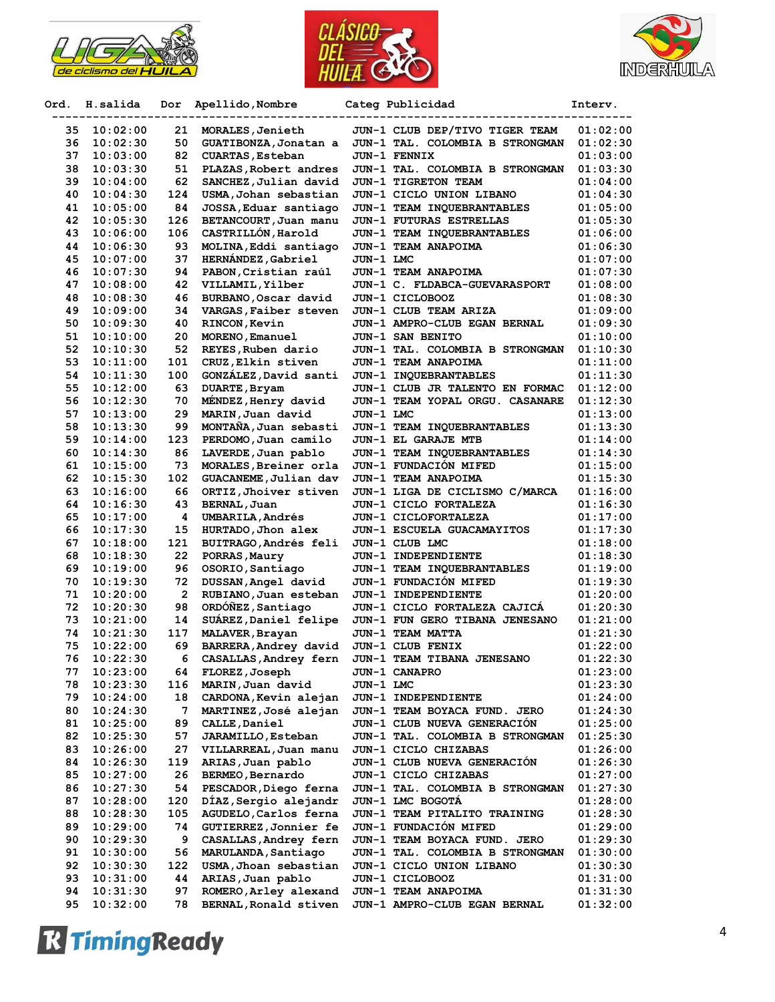





| Ord.     | H.salida             | Dor       | Apellido, Nombre                              | Categ Publicidad                                                  | <b>Interv.</b>       |
|----------|----------------------|-----------|-----------------------------------------------|-------------------------------------------------------------------|----------------------|
|          |                      |           |                                               |                                                                   |                      |
| 35<br>36 | 10:02:00<br>10:02:30 | 21<br>50  | MORALES, Jenieth<br>GUATIBONZA, Jonatan a     | JUN-1 CLUB DEP/TIVO TIGER TEAM<br>JUN-1 TAL. COLOMBIA B STRONGMAN | 01:02:00<br>01:02:30 |
| 37       | 10:03:00             | 82        | <b>CUARTAS, Esteban</b>                       | JUN-1 FENNIX                                                      | 01:03:00             |
| 38       | 10:03:30             | 51        | PLAZAS, Robert andres                         | JUN-1 TAL. COLOMBIA B STRONGMAN                                   | 01:03:30             |
| 39       | 10:04:00             | 62        | SANCHEZ, Julian david                         | JUN-1 TIGRETON TEAM                                               | 01:04:00             |
| 40       | 10:04:30             | 124       | USMA, Johan sebastian                         | JUN-1 CICLO UNION LIBANO                                          | 01:04:30             |
| 41       | 10:05:00             | 84        | JOSSA, Eduar santiago                         | JUN-1 TEAM INQUEBRANTABLES                                        | 01:05:00             |
| 42       | 10:05:30             | 126       | BETANCOURT, Juan manu                         | <b>JUN-1 FUTURAS ESTRELLAS</b>                                    | 01:05:30             |
| 43       | 10:06:00             | 106       | CASTRILLÓN, Harold                            | JUN-1 TEAM INQUEBRANTABLES                                        | 01:06:00             |
| 44       | 10:06:30             | 93        | MOLINA, Eddi santiago                         | JUN-1 TEAM ANAPOIMA                                               | 01:06:30             |
| 45       | 10:07:00             | 37        | HERNÁNDEZ, Gabriel                            | JUN-1 LMC                                                         | 01:07:00             |
| 46       | 10:07:30             | 94        | PABON, Cristian raúl                          | JUN-1 TEAM ANAPOIMA                                               | 01:07:30             |
| 47       | 10:08:00             | 42        | VILLAMIL, Yilber                              | JUN-1 C. FLDABCA-GUEVARASPORT                                     | 01:08:00             |
| 48       | 10:08:30             | 46        | BURBANO, Oscar david                          | JUN-1 CICLOBOOZ                                                   | 01:08:30             |
| 49       | 10:09:00             | 34        | VARGAS, Faiber steven                         | JUN-1 CLUB TEAM ARIZA                                             | 01:09:00             |
| 50       | 10:09:30             | 40        | RINCON, Kevin                                 | JUN-1 AMPRO-CLUB EGAN BERNAL                                      | 01:09:30             |
| 51       | 10:10:00             | 20        | MORENO, Emanuel                               | JUN-1 SAN BENITO                                                  | 01:10:00             |
| 52       | 10:10:30             | 52        | REYES, Ruben dario                            | JUN-1 TAL. COLOMBIA B STRONGMAN                                   | 01:10:30             |
| 53       | 10:11:00             | 101       | CRUZ, Elkin stiven                            | JUN-1 TEAM ANAPOIMA                                               | 01:11:00             |
| 54       | 10:11:30             | 100       | GONZÁLEZ, David santi                         | JUN-1 INQUEBRANTABLES                                             | 01:11:30             |
| 55       | 10:12:00             | 63        | DUARTE, Bryam                                 | JUN-1 CLUB JR TALENTO EN FORMAC                                   | 01:12:00             |
| 56       | 10:12:30             | 70        | MÉNDEZ, Henry david                           | JUN-1 TEAM YOPAL ORGU. CASANARE                                   | 01:12:30             |
| 57       | 10:13:00             | 29        | MARIN, Juan david                             | JUN-1 LMC                                                         | 01:13:00             |
| 58       | 10:13:30             | 99        | MONTAÑA, Juan sebasti                         | JUN-1 TEAM INQUEBRANTABLES                                        | 01:13:30             |
| 59       | 10:14:00             | 123       | PERDOMO, Juan camilo                          | JUN-1 EL GARAJE MTB                                               | 01:14:00             |
| 60       | 10:14:30             | 86        | LAVERDE, Juan pablo                           | JUN-1 TEAM INQUEBRANTABLES                                        | 01:14:30             |
| 61       | 10:15:00             | 73        | MORALES, Breiner orla                         | JUN-1 FUNDACION MIFED                                             | 01:15:00             |
| 62       | 10:15:30             | 102       | GUACANEME, Julian dav                         | JUN-1 TEAM ANAPOIMA                                               | 01:15:30             |
| 63       | 10:16:00             | 66        | ORTIZ, Jhoiver stiven                         | JUN-1 LIGA DE CICLISMO C/MARCA                                    | 01:16:00             |
| 64       | 10:16:30             | 43        | BERNAL, Juan                                  | JUN-1 CICLO FORTALEZA                                             | 01:16:30             |
| 65       | 10:17:00             | 4         | <b>UMBARILA, Andrés</b>                       | JUN-1 CICLOFORTALEZA                                              | 01:17:00             |
| 66<br>67 | 10:17:30             | 15<br>121 | HURTADO, Jhon alex                            | JUN-1 ESCUELA GUACAMAYITOS<br>JUN-1 CLUB LMC                      | 01:17:30             |
| 68       | 10:18:00<br>10:18:30 | 22        | <b>BUITRAGO, Andrés feli</b><br>PORRAS, Maury | JUN-1 INDEPENDIENTE                                               | 01:18:00<br>01:18:30 |
| 69       | 10:19:00             | 96        | OSORIO, Santiago                              | JUN-1 TEAM INQUEBRANTABLES                                        | 01:19:00             |
| 70       | 10:19:30             | 72        | DUSSAN, Angel david                           | JUN-1 FUNDACIÓN MIFED                                             | 01:19:30             |
| 71       | 10:20:00             | 2         | RUBIANO, Juan esteban                         | JUN-1 INDEPENDIENTE                                               | 01:20:00             |
| 72       | 10:20:30             | 98        | ORDÓÑEZ, Santiago                             | JUN-1 CICLO FORTALEZA CAJICA                                      | 01:20:30             |
| 73       | 10:21:00             | 14        | SUAREZ, Daniel felipe                         | JUN-1 FUN GERO TIBANA JENESANO                                    | 01:21:00             |
| 74       | 10:21:30             | 117       | MALAVER, Brayan                               | JUN-1 TEAM MATTA                                                  | 01:21:30             |
| 75       | 10:22:00             | 69        | BARRERA, Andrey david                         | JUN-1 CLUB FENIX                                                  | 01:22:00             |
| 76       | 10:22:30             | 6         | CASALLAS, Andrey fern                         | JUN-1 TEAM TIBANA JENESANO                                        | 01:22:30             |
| 77       | 10:23:00             | 64        | FLOREZ, Joseph                                | JUN-1 CANAPRO                                                     | 01:23:00             |
| 78       | 10:23:30             | 116       | MARIN, Juan david                             | JUN-1 LMC                                                         | 01:23:30             |
| 79       | 10:24:00             | 18        | CARDONA, Kevin alejan                         | JUN-1 INDEPENDIENTE                                               | 01:24:00             |
| 80       | 10:24:30             | 7         | MARTINEZ, José alejan                         | JUN-1 TEAM BOYACA FUND. JERO                                      | 01:24:30             |
| 81       | 10:25:00             | 89        | CALLE, Daniel                                 | JUN-1 CLUB NUEVA GENERACIÓN                                       | 01:25:00             |
| 82       | 10:25:30             | 57        | JARAMILLO, Esteban                            | JUN-1 TAL. COLOMBIA B STRONGMAN                                   | 01:25:30             |
| 83       | 10:26:00             | 27        | VILLARREAL, Juan manu                         | JUN-1 CICLO CHIZABAS                                              | 01:26:00             |
| 84       | 10:26:30             | 119       | ARIAS, Juan pablo                             | JUN-1 CLUB NUEVA GENERACIÓN                                       | 01:26:30             |
| 85       | 10:27:00             | 26        | <b>BERMEO, Bernardo</b>                       | JUN-1 CICLO CHIZABAS                                              | 01:27:00             |
| 86       | 10:27:30             | 54        | PESCADOR, Diego ferna                         | JUN-1 TAL. COLOMBIA B STRONGMAN                                   | 01:27:30             |
| 87       | 10:28:00             | 120       | DÍAZ, Sergio alejandr                         | JUN-1 LMC BOGOTÁ                                                  | 01:28:00             |
| 88       | 10:28:30             | 105       | AGUDELO, Carlos ferna                         | JUN-1 TEAM PITALITO TRAINING                                      | 01:28:30             |
| 89       | 10:29:00             | 74        | GUTIERREZ, Jonnier fe                         | JUN-1 FUNDACIÓN MIFED                                             | 01:29:00             |
| 90       | 10:29:30             | 9         | CASALLAS, Andrey fern                         | JUN-1 TEAM BOYACA FUND. JERO                                      | 01:29:30             |
| 91       | 10:30:00             | 56        | MARULANDA, Santiago                           | JUN-1 TAL. COLOMBIA B STRONGMAN                                   | 01:30:00             |
| 92       | 10:30:30             | 122       | USMA, Jhoan sebastian                         | JUN-1 CICLO UNION LIBANO                                          | 01:30:30             |
| 93<br>94 | 10:31:00             | 44<br>97  | ARIAS, Juan pablo<br>ROMERO, Arley alexand    | JUN-1 CICLOBOOZ<br>JUN-1 TEAM ANAPOIMA                            | 01:31:00<br>01:31:30 |
| 95       | 10:31:30<br>10:32:00 | 78        | <b>BERNAL, Ronald stiven</b>                  | JUN-1 AMPRO-CLUB EGAN BERNAL                                      | 01:32:00             |
|          |                      |           |                                               |                                                                   |                      |

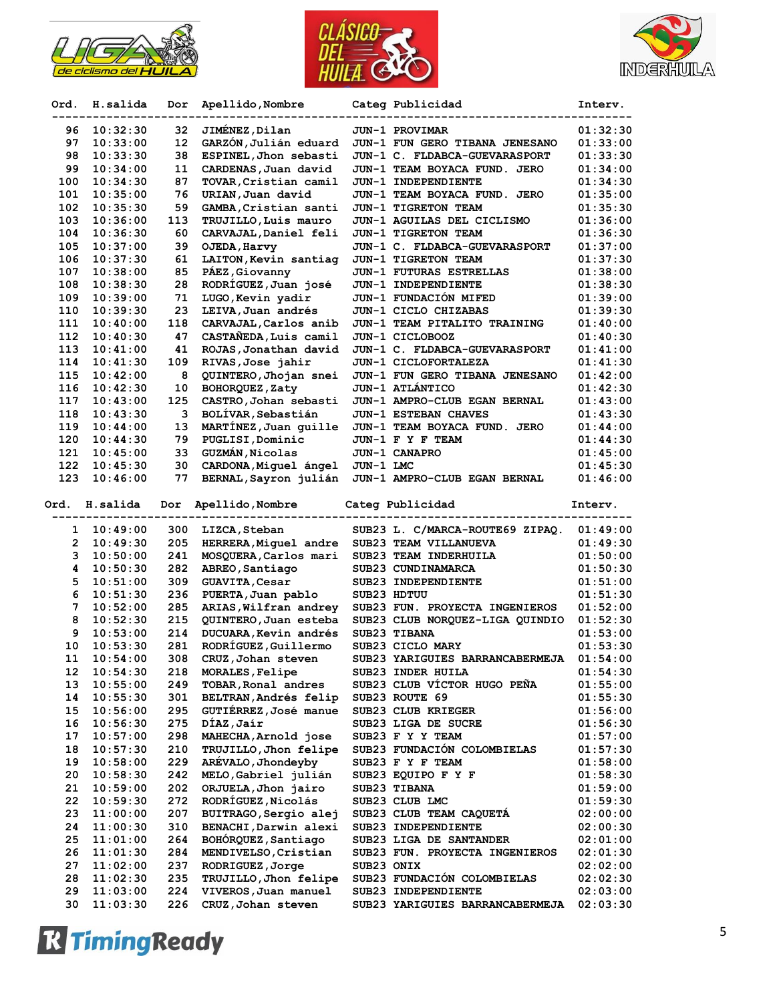





| Ord.           | H.salida             | Dor             | Apellido, Nombre                               |            | Categ Publicidad                | Interv.              |
|----------------|----------------------|-----------------|------------------------------------------------|------------|---------------------------------|----------------------|
|                |                      |                 |                                                |            |                                 |                      |
| 96             | 10:32:30             | 32              | JIMÉNEZ, Dilan                                 |            | JUN-1 PROVIMAR                  | 01:32:30             |
| 97             | 10:33:00             | 12 <sub>2</sub> | GARZÓN, Julián eduard                          |            | JUN-1 FUN GERO TIBANA JENESANO  | 01:33:00             |
| 98             | 10:33:30             | 38              | ESPINEL, Jhon sebasti                          |            | JUN-1 C. FLDABCA-GUEVARASPORT   | 01:33:30             |
| 99             | 10:34:00             | 11              | CARDENAS, Juan david                           |            | JUN-1 TEAM BOYACA FUND. JERO    | 01:34:00             |
| 100            | 10:34:30             | 87              | TOVAR, Cristian camil                          |            | JUN-1 INDEPENDIENTE             | 01:34:30             |
| 101            | 10:35:00             | 76              | URIAN, Juan david                              |            | JUN-1 TEAM BOYACA FUND. JERO    | 01:35:00             |
| 102            | 10:35:30             | 59              | GAMBA, Cristian santi                          |            | JUN-1 TIGRETON TEAM             | 01:35:30             |
| 103            | 10:36:00             | 113             | TRUJILLO, Luis mauro                           |            | JUN-1 AGUILAS DEL CICLISMO      | 01:36:00             |
| 104            | 10:36:30             | 60              | CARVAJAL, Daniel feli                          |            | JUN-1 TIGRETON TEAM             | 01:36:30             |
| 105            | 10:37:00             | 39              | OJEDA, Harvy                                   |            | JUN-1 C. FLDABCA-GUEVARASPORT   | 01:37:00             |
| 106            | 10:37:30             | 61              | LAITON, Kevin santiag                          |            | JUN-1 TIGRETON TEAM             | 01:37:30             |
| 107            | 10:38:00             | 85              | PÁEZ, Giovanny                                 |            | <b>JUN-1 FUTURAS ESTRELLAS</b>  | 01:38:00             |
| 108            | 10:38:30             | 28              | RODRÍGUEZ, Juan josé                           |            | JUN-1 INDEPENDIENTE             | 01:38:30             |
| 109            | 10:39:00             | 71              | LUGO, Kevin yadir                              |            | JUN-1 FUNDACIÓN MIFED           | 01:39:00             |
| 110            | 10:39:30             | 23              | LEIVA, Juan andrés                             |            | JUN-1 CICLO CHIZABAS            | 01:39:30             |
| 111            | 10:40:00             | 118             | CARVAJAL, Carlos anib                          |            | JUN-1 TEAM PITALITO TRAINING    | 01:40:00             |
| 112            | 10:40:30             | 47              | CASTAÑEDA, Luis camil                          |            | JUN-1 CICLOBOOZ                 | 01:40:30             |
| 113            | 10:41:00             | 41              | ROJAS, Jonathan david                          |            | JUN-1 C. FLDABCA-GUEVARASPORT   | 01:41:00             |
| 114            | 10:41:30             | 109             | RIVAS, Jose jahir                              |            | JUN-1 CICLOFORTALEZA            | 01:41:30             |
| 115            | 10:42:00             | 8               | QUINTERO, Jhojan snei                          |            | JUN-1 FUN GERO TIBANA JENESANO  | 01:42:00             |
| 116            | 10:42:30             | 10              | BOHORQUEZ, Zaty                                |            | JUN-1 ATLÁNTICO                 | 01:42:30             |
| 117            | 10:43:00             | 125             | CASTRO, Johan sebasti                          |            | JUN-1 AMPRO-CLUB EGAN BERNAL    | 01:43:00             |
| 118            | 10:43:30             | 3               | BOLÍVAR, Sebastián                             |            | JUN-1 ESTEBAN CHAVES            | 01:43:30             |
| 119            | 10:44:00             | 13              | MARTINEZ, Juan quille                          |            | JUN-1 TEAM BOYACA FUND. JERO    | 01:44:00             |
| 120            | 10:44:30             | 79              | PUGLISI, Dominic                               |            | JUN-1 F Y F TEAM                | 01:44:30             |
| 121            | 10:45:00             | 33              | GUZMÁN, Nicolas                                |            | JUN-1 CANAPRO                   | 01:45:00             |
| 122            | 10:45:30             | 30              | CARDONA, Miquel ángel                          | JUN-1 LMC  |                                 | 01:45:30             |
| 123            | 10:46:00             | 77              | BERNAL, Sayron julián                          |            | JUN-1 AMPRO-CLUB EGAN BERNAL    | 01:46:00             |
| Ord.           | H.salida             | Dor             | Apellido, Nombre                               |            | Categ Publicidad                | Interv.              |
| $\mathbf{1}$   | 10:49:00             | 300             | LIZCA, Steban                                  |            | SUB23 L. C/MARCA-ROUTE69 ZIPAQ. | 01:49:00             |
| $\overline{2}$ | 10:49:30             | 205             | HERRERA, Miquel andre                          |            | SUB23 TEAM VILLANUEVA           | 01:49:30             |
| 3              | 10:50:00             | 241             | MOSQUERA, Carlos mari                          |            | SUB23 TEAM INDERHUILA           | 01:50:00             |
| 4              | 10:50:30             | 282             | ABREO, Santiago                                |            | SUB23 CUNDINAMARCA              | 01:50:30             |
| 5              | 10:51:00             | 309             | <b>GUAVITA, Cesar</b>                          |            | SUB23 INDEPENDIENTE             | 01:51:00             |
| 6              | 10:51:30             | 236             | PUERTA, Juan pablo                             |            | SUB23 HDTUU                     | 01:51:30             |
| 7              | 10:52:00             | 285             | ARIAS, Wilfran andrey                          |            | SUB23 FUN. PROYECTA INGENIEROS  | 01:52:00             |
| 8              | 10:52:30             | 215             | QUINTERO, Juan esteba                          |            | SUB23 CLUB NORQUEZ-LIGA QUINDIO | 01:52:30             |
| 9              | 10:53:00             | 214             | DUCUARA, Kevin andrés                          |            | SUB23 TIBANA                    | 01:53:00             |
| 10             | 10:53:30             | 281             | RODRÍGUEZ, Guillermo                           |            | SUB23 CICLO MARY                | 01:53:30             |
| 11             | 10:54:00             | 308             | CRUZ, Johan steven                             |            | SUB23 YARIGUIES BARRANCABERMEJA | 01:54:00             |
| 12             | 10:54:30             | 218             | MORALES, Felipe                                |            | SUB23 INDER HUILA               | 01:54:30             |
| 13             | 10:55:00             | 249             | TOBAR, Ronal andres                            |            | SUB23 CLUB VÍCTOR HUGO PEÑA     | 01:55:00             |
| 14             | 10:55:30             | 301             | BELTRAN, Andrés felip                          |            | SUB23 ROUTE 69                  | 01:55:30             |
| 15             | 10:56:00             | 295             | GUTIÉRREZ, José manue                          |            | SUB23 CLUB KRIEGER              | 01:56:00             |
| 16             |                      |                 |                                                |            |                                 |                      |
| 17             |                      |                 |                                                |            | SUB23 LIGA DE SUCRE             |                      |
| 18             | 10:56:30<br>10:57:00 | 275<br>298      | DÍAZ, Jaír<br>MAHECHA, Arnold jose             |            | SUB23 F Y Y TEAM                | 01:56:30<br>01:57:00 |
|                | 10:57:30             |                 | TRUJILLO, Jhon felipe                          |            | SUB23 FUNDACIÓN COLOMBIELAS     | 01:57:30             |
| 19             | 10:58:00             | 210             |                                                |            | SUB23 F Y F TEAM                | 01:58:00             |
| 20             | 10:58:30             | 229<br>242      | ARÉVALO, Jhondeyby                             |            | SUB23 EQUIPO F Y F              | 01:58:30             |
| 21             | 10:59:00             | 202             | MELO, Gabriel julián                           |            | SUB23 TIBANA                    | 01:59:00             |
| 22             | 10:59:30             | 272             | ORJUELA, Jhon jairo<br>RODRÍGUEZ, Nicolás      |            | SUB23 CLUB LMC                  | 01:59:30             |
| 23             | 11:00:00             | 207             |                                                |            | SUB23 CLUB TEAM CAQUETÁ         | 02:00:00             |
| 24             | 11:00:30             | 310             | BUITRAGO, Sergio alej<br>BENACHI, Darwin alexi |            | SUB23 INDEPENDIENTE             | 02:00:30             |
| 25             | 11:01:00             | 264             | BOHÓRQUEZ, Santiago                            |            | SUB23 LIGA DE SANTANDER         | 02:01:00             |
| 26             | 11:01:30             | 284             | MENDIVELSO, Cristian                           |            | SUB23 FUN. PROYECTA INGENIEROS  | 02:01:30             |
| 27             | 11:02:00             | 237             | RODRIGUEZ, Jorge                               | SUB23 ONIX |                                 | 02:02:00             |
| 28             | 11:02:30             | 235             | TRUJILLO, Jhon felipe                          |            | SUB23 FUNDACIÓN COLOMBIELAS     | 02:02:30             |
| 29             | 11:03:00             | 224             | VIVEROS, Juan manuel                           |            | SUB23 INDEPENDIENTE             | 02:03:00             |

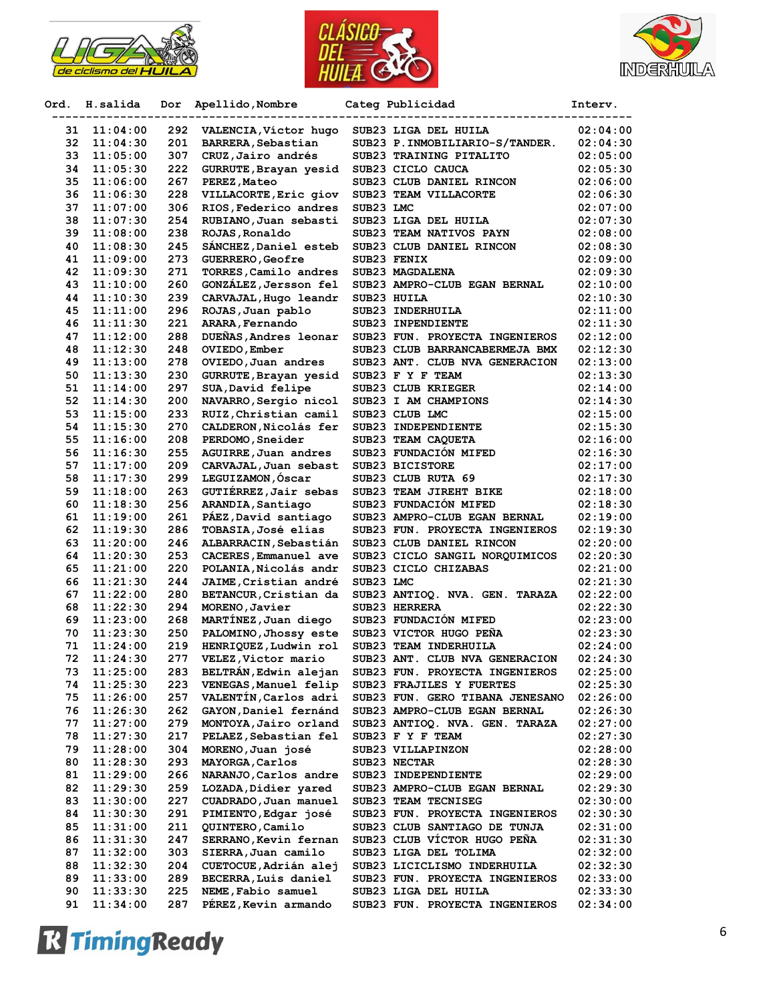





| Ord.     | H.salida             | Dor        | Apellido, Nombre                               | Categ Publicidad                  | Interv.              |
|----------|----------------------|------------|------------------------------------------------|-----------------------------------|----------------------|
|          |                      |            |                                                |                                   |                      |
| 31       | 11:04:00             | 292        | VALENCIA, Víctor hugo                          | SUB23 LIGA DEL HUILA              | 02:04:00             |
| 32       | 11:04:30             | 201        | BARRERA, Sebastian                             | SUB23 P. INMOBILIARIO-S/TANDER.   | 02:04:30             |
| 33       | 11:05:00             | 307        | CRUZ, Jairo andrés                             | SUB23 TRAINING PITALITO           | 02:05:00             |
| 34       | 11:05:30             | 222        | GURRUTE, Brayan yesid                          | SUB23 CICLO CAUCA                 | 02:05:30             |
| 35       | 11:06:00             | 267        | PEREZ, Mateo                                   | SUB23 CLUB DANIEL RINCON          | 02:06:00             |
| 36       | 11:06:30             | 228        | VILLACORTE, Eric giov                          | SUB23 TEAM VILLACORTE             | 02:06:30             |
| 37       | 11:07:00             | 306        | RIOS, Federico andres                          | SUB23 LMC                         | 02:07:00             |
| 38       | 11:07:30             | 254        | RUBIANO, Juan sebasti                          | SUB23 LIGA DEL HUILA              | 02:07:30             |
| 39       | 11:08:00             | 238        | ROJAS, Ronaldo                                 | SUB23 TEAM NATIVOS PAYN           | 02:08:00             |
| 40       | 11:08:30             | 245        | SANCHEZ, Daniel esteb                          | SUB23 CLUB DANIEL RINCON          | 02:08:30             |
| 41       | 11:09:00             | 273        | GUERRERO, Geofre                               | SUB23 FENIX                       | 02:09:00             |
| 42       | 11:09:30             | 271        | TORRES, Camilo andres                          | SUB23 MAGDALENA                   | 02:09:30             |
| 43       | 11:10:00             | 260        | GONZÁLEZ, Jersson fel                          | SUB23 AMPRO-CLUB EGAN BERNAL      | 02:10:00             |
| 44       | 11:10:30             | 239        | CARVAJAL, Hugo leandr                          | SUB23 HUILA                       | 02:10:30             |
| 45       | 11:11:00             | 296        | ROJAS, Juan pablo                              | SUB23 INDERHUILA                  | 02:11:00             |
| 46       | 11:11:30             | 221        | ARARA, Fernando                                | SUB23 INPENDIENTE                 | 02:11:30             |
| 47       | 11:12:00             | 288        | DUEÑAS, Andres leonar                          | SUB23 FUN. PROYECTA INGENIEROS    | 02:12:00             |
| 48       | 11:12:30             | 248        | OVIEDO, Ember                                  | SUB23 CLUB BARRANCABERMEJA BMX    | 02:12:30             |
| 49       | 11:13:00             | 278        | OVIEDO, Juan andres                            | SUB23 ANT. CLUB NVA GENERACION    | 02:13:00             |
| 50       | 11:13:30             | 230        | GURRUTE, Brayan yesid                          | SUB23 F Y F TEAM                  | 02:13:30             |
| 51       | 11:14:00             | 297        | SUA, David felipe                              | SUB23 CLUB KRIEGER                | 02:14:00             |
| 52       | 11:14:30             | 200        | NAVARRO, Sergio nicol                          | SUB23 I AM CHAMPIONS              | 02:14:30             |
| 53       | 11:15:00             | 233        | RUIZ, Christian camil                          | SUB23 CLUB LMC                    | 02:15:00             |
| 54       | 11:15:30             | 270        | CALDERON, Nicolás fer                          | SUB23 INDEPENDIENTE               | 02:15:30             |
| 55       | 11:16:00             | 208        | PERDOMO, Sneider                               | SUB23 TEAM CAQUETA                | 02:16:00             |
| 56       | 11:16:30             | 255        | AGUIRRE, Juan andres                           | SUB23 FUNDACIÓN MIFED             | 02:16:30             |
| 57       | 11:17:00             | 209        | CARVAJAL, Juan sebast                          | SUB23 BICISTORE                   | 02:17:00             |
| 58       | 11:17:30             | 299        | LEGUIZAMON, Óscar                              | SUB23 CLUB RUTA 69                | 02:17:30             |
| 59       | 11:18:00             | 263        | GUTIÉRREZ, Jair sebas                          | SUB23 TEAM JIREHT BIKE            | 02:18:00             |
| 60       | 11:18:30             | 256        | ARANDIA, Santiago                              | SUB23 FUNDACIÓN MIFED             | 02:18:30             |
| 61       | 11:19:00             | 261        | PÁEZ, David santiago                           | SUB23 AMPRO-CLUB EGAN BERNAL      | 02:19:00             |
| 62       | 11:19:30             | 286        | TOBASIA, José elías                            | SUB23 FUN. PROYECTA INGENIEROS    | 02:19:30             |
| 63       | 11:20:00             | 246        | ALBARRACIN, Sebastián                          | SUB23 CLUB DANIEL RINCON          | 02:20:00             |
| 64       | 11:20:30             | 253<br>220 | CACERES, Emmanuel ave                          | SUB23 CICLO SANGIL NORQUIMICOS    | 02:20:30             |
| 65<br>66 | 11:21:00             | 244        | POLANIA, Nicolás andr<br>JAIME, Cristian andré | SUB23 CICLO CHIZABAS<br>SUB23 LMC | 02:21:00<br>02:21:30 |
| 67       | 11:21:30<br>11:22:00 | 280        | BETANCUR, Cristian da                          | SUB23 ANTIOQ. NVA. GEN. TARAZA    | 02:22:00             |
| 68       | 11:22:30             | 294        | MORENO, Javier                                 | SUB23 HERRERA                     | 02:22:30             |
| 69       | 11:23:00             | 268        | MARTÍNEZ, Juan diego                           | SUB23 FUNDACIÓN MIFED             | 02:23:00             |
| 70       | 11:23:30             | 250        | PALOMINO, Jhossy este                          | SUB23 VICTOR HUGO PEÑA            | 02:23:30             |
| 71       | 11:24:00             | 219        | HENRIQUEZ, Ludwin rol                          | SUB23 TEAM INDERHUILA             | 02:24:00             |
| 72       | 11:24:30             | 277        | VELEZ, Victor mario                            | SUB23 ANT. CLUB NVA GENERACION    | 02:24:30             |
| 73       | 11:25:00             | 283        | BELTRÁN, Edwin alejan                          | SUB23 FUN. PROYECTA INGENIEROS    | 02:25:00             |
| 74       | 11:25:30             | 223        | VENEGAS, Manuel felip                          | SUB23 FRAJILES Y FUERTES          | 02:25:30             |
| 75       | 11:26:00             | 257        | VALENTÍN, Carlos adri                          | SUB23 FUN. GERO TIBANA JENESANO   | 02:26:00             |
| 76       | 11:26:30             | 262        | GAYON, Daniel fernánd                          | SUB23 AMPRO-CLUB EGAN BERNAL      | 02:26:30             |
| 77       | 11:27:00             | 279        | MONTOYA, Jairo orland                          | SUB23 ANTIOQ. NVA. GEN. TARAZA    | 02:27:00             |
| 78       | 11:27:30             | 217        | PELAEZ, Sebastian fel                          | SUB23 F Y F TEAM                  | 02:27:30             |
| 79       | 11:28:00             | 304        | MORENO, Juan josé                              | SUB23 VILLAPINZON                 | 02:28:00             |
| 80       | 11:28:30             | 293        | MAYORGA, Carlos                                | SUB23 NECTAR                      | 02:28:30             |
| 81       | 11:29:00             | 266        | NARANJO, Carlos andre                          | SUB23 INDEPENDIENTE               | 02:29:00             |
| 82       | 11:29:30             | 259        | LOZADA, Didier yared                           | SUB23 AMPRO-CLUB EGAN BERNAL      | 02:29:30             |
| 83       | 11:30:00             | 227        | CUADRADO, Juan manuel                          | SUB23 TEAM TECNISEG               | 02:30:00             |
| 84       | 11:30:30             | 291        | PIMIENTO, Edgar josé                           | SUB23 FUN. PROYECTA INGENIEROS    | 02:30:30             |
| 85       | 11:31:00             | 211        | QUINTERO, Camilo                               | SUB23 CLUB SANTIAGO DE TUNJA      | 02:31:00             |
| 86       | 11:31:30             | 247        | SERRANO, Kevin fernan                          | SUB23 CLUB VICTOR HUGO PEÑA       | 02:31:30             |
| 87       | 11:32:00             | 303        | SIERRA, Juan camilo                            | SUB23 LIGA DEL TOLIMA             | 02:32:00             |
| 88       | 11:32:30             | 204        | CUETOCUE, Adrián alej                          | SUB23 LICICLISMO INDERHUILA       | 02:32:30             |
| 89       | 11:33:00             | 289        | BECERRA, Luis daniel                           | SUB23 FUN. PROYECTA INGENIEROS    | 02:33:00             |
| 90       | 11:33:30             | 225        | NEME, Fabio samuel                             | SUB23 LIGA DEL HUILA              | 02:33:30             |
| 91       | 11:34:00             | 287        | PÉREZ, Kevin armando                           | SUB23 FUN. PROYECTA INGENIEROS    | 02:34:00             |
|          |                      |            |                                                |                                   |                      |

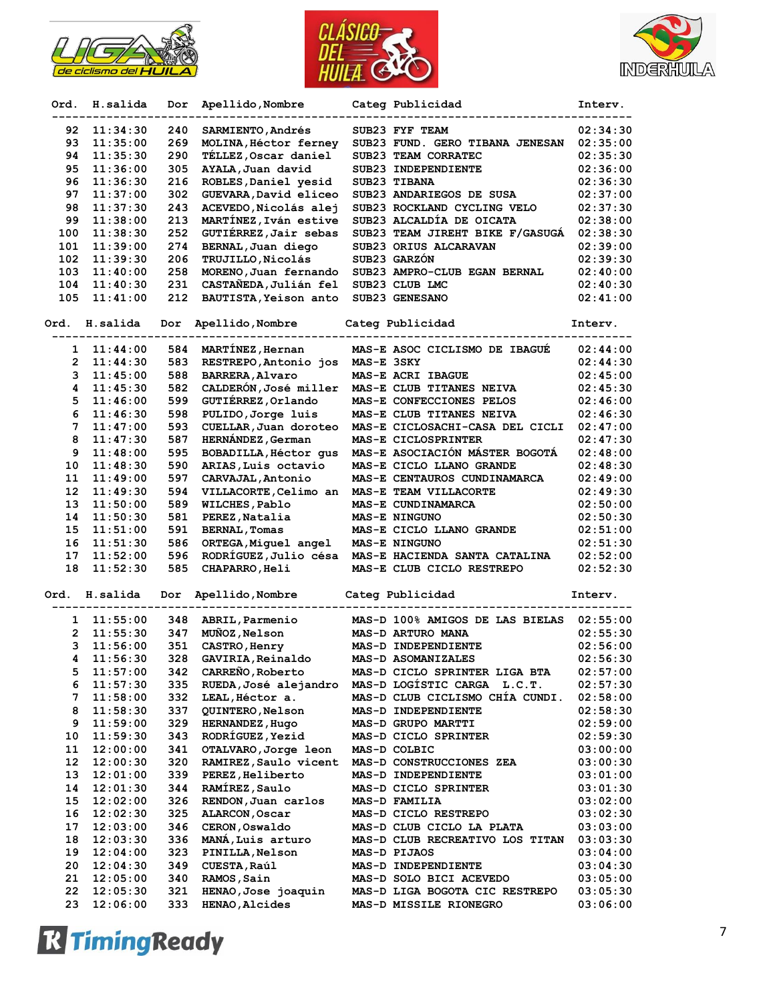





| Ord.            | H.salida          | Dor | Apellido, Nombre      |            | Categ Publicidad                         | Interv.  |
|-----------------|-------------------|-----|-----------------------|------------|------------------------------------------|----------|
| 92              | 11:34:30          | 240 | SARMIENTO, Andrés     |            | SUB23 FYF TEAM                           | 02:34:30 |
| 93              | 11:35:00          | 269 | MOLINA, Héctor ferney |            | SUB23 FUND. GERO TIBANA JENESAN          | 02:35:00 |
| 94              | 11:35:30          | 290 | TÉLLEZ, Oscar daniel  |            | SUB23 TEAM CORRATEC                      | 02:35:30 |
| 95              | 11:36:00          | 305 | AYALA, Juan david     |            | SUB23 INDEPENDIENTE                      | 02:36:00 |
| 96              | 11:36:30          | 216 | ROBLES, Daniel yesid  |            | SUB23 TIBANA                             | 02:36:30 |
| 97              | 11:37:00          | 302 | GUEVARA, David eliceo |            | SUB23 ANDARIEGOS DE SUSA                 | 02:37:00 |
| 98              | 11:37:30          | 243 | ACEVEDO, Nicolás alej |            | SUB23 ROCKLAND CYCLING VELO              | 02:37:30 |
| 99              | 11:38:00          | 213 | MARTINEZ, Iván estive |            | SUB23 ALCALDÍA DE OICATA                 | 02:38:00 |
| 100             | 11:38:30          | 252 | GUTIÉRREZ, Jair sebas |            | SUB23 TEAM JIREHT BIKE F/GASUGA          | 02:38:30 |
| 101             |                   | 274 | BERNAL, Juan diego    |            | SUB23 ORIUS ALCARAVAN                    | 02:39:00 |
|                 | 11:39:00          | 206 |                       |            | SUB23 GARZÓN                             |          |
| 102             | 11:39:30          |     | TRUJILLO, Nicolás     |            |                                          | 02:39:30 |
| 103             | 11:40:00          | 258 | MORENO, Juan fernando |            | SUB23 AMPRO-CLUB EGAN BERNAL             | 02:40:00 |
| 104             | 11:40:30          | 231 | CASTAÑEDA, Julián fel |            | SUB23 CLUB LMC                           | 02:40:30 |
| 105             | 11:41:00          | 212 | BAUTISTA, Yeison anto |            | SUB23 GENESANO                           | 02:41:00 |
| Ord.            | H.salida          | Dor | Apellido, Nombre      |            | Categ Publicidad                         | Interv.  |
| 1               | 11:44:00          | 584 | MARTINEZ, Hernan      |            | MAS-E ASOC CICLISMO DE IBAGUÉ            | 02:44:00 |
| $\mathbf{2}$    | 11:44:30          | 583 | RESTREPO, Antonio jos | MAS-E 3SKY |                                          | 02:44:30 |
| 3               | 11:45:00          | 588 | BARRERA, Alvaro       |            | MAS-E ACRI IBAGUE                        | 02:45:00 |
| 4               | 11:45:30          | 582 | CALDERÓN, José miller |            | MAS-E CLUB TITANES NEIVA                 | 02:45:30 |
| 5               | 11:46:00          | 599 | GUTIÉRREZ, Orlando    |            | MAS-E CONFECCIONES PELOS                 | 02:46:00 |
| 6               | 11:46:30          | 598 | PULIDO, Jorge luis    |            | MAS-E CLUB TITANES NEIVA                 | 02:46:30 |
| 7               | 11:47:00          | 593 | CUELLAR, Juan doroteo |            | MAS-E CICLOSACHI-CASA DEL CICLI          | 02:47:00 |
| 8               | 11:47:30          | 587 | HERNÁNDEZ, German     |            | MAS-E CICLOSPRINTER                      | 02:47:30 |
| 9               | 11:48:00          | 595 | BOBADILLA, Héctor qus |            | MAS-E ASOCIACIÓN MÁSTER BOGOTÁ           | 02:48:00 |
| 10              | 11:48:30          | 590 | ARIAS, Luis octavio   |            | MAS-E CICLO LLANO GRANDE                 | 02:48:30 |
| 11              | 11:49:00          | 597 | CARVAJAL, Antonio     |            | MAS-E CENTAUROS CUNDINAMARCA             | 02:49:00 |
| 12 <sup>°</sup> | 11:49:30          | 594 | VILLACORTE, Celimo an |            | MAS-E TEAM VILLACORTE                    | 02:49:30 |
| 13              | 11:50:00          | 589 | WILCHES, Pablo        |            |                                          | 02:50:00 |
| 14              |                   | 581 |                       |            | MAS-E CUNDINAMARCA                       |          |
|                 | 11:50:30          |     | PEREZ, Natalia        |            | MAS-E NINGUNO                            | 02:50:30 |
| 15              | 11:51:00          | 591 | <b>BERNAL, Tomas</b>  |            | MAS-E CICLO LLANO GRANDE                 | 02:51:00 |
| 16              | 11:51:30          | 586 | ORTEGA, Miguel angel  |            | MAS-E NINGUNO                            | 02:51:30 |
| 17              | 11:52:00          | 596 | RODRÍGUEZ, Julio césa |            | MAS-E HACIENDA SANTA CATALINA            | 02:52:00 |
| 18              | 11:52:30          | 585 | CHAPARRO, Heli        |            | MAS-E CLUB CICLO RESTREPO                | 02:52:30 |
|                 | Ord. H.salida     |     | Dor Apellido, Nombre  |            | Categ Publicidad                         | Interv.  |
|                 | $1\quad 11:55:00$ | 348 | ABRIL, Parmenio       |            | MAS-D 100% AMIGOS DE LAS BIELAS 02:55:00 |          |
| $\mathbf{2}$    | 11:55:30          | 347 | MUÑOZ, Nelson         |            | MAS-D ARTURO MANA                        | 02:55:30 |
| 3               | 11:56:00          | 351 | CASTRO, Henry         |            | MAS-D INDEPENDIENTE                      | 02:56:00 |
| 4               | 11:56:30          | 328 | GAVIRIA, Reinaldo     |            | MAS-D ASOMANIZALES                       | 02:56:30 |
| 5               | 11:57:00          | 342 | CARREÑO, Roberto      |            | MAS-D CICLO SPRINTER LIGA BTA            | 02:57:00 |
| 6               | 11:57:30          | 335 | RUEDA, José alejandro |            | MAS-D LOGÍSTIC CARGA L.C.T.              | 02:57:30 |
| 7               | 11:58:00          | 332 | LEAL, Héctor a.       |            | MAS-D CLUB CICLISMO CHÍA CUNDI.          | 02:58:00 |
| 8               | 11:58:30          | 337 | QUINTERO, Nelson      |            | MAS-D INDEPENDIENTE                      | 02:58:30 |
| 9               | 11:59:00          | 329 | HERNANDEZ, Hugo       |            | MAS-D GRUPO MARTTI                       | 02:59:00 |
| 10              | 11:59:30          | 343 | RODRÍGUEZ, Yezid      |            | <b>MAS-D CICLO SPRINTER</b>              | 02:59:30 |
| 11              | 12:00:00          | 341 | OTALVARO, Jorge leon  |            | MAS-D COLBIC                             | 03:00:00 |
| 12              |                   |     |                       |            |                                          |          |
|                 | 12:00:30          | 320 | RAMIREZ, Saulo vicent |            | MAS-D CONSTRUCCIONES ZEA                 | 03:00:30 |
| 13              | 12:01:00          | 339 | PEREZ, Heliberto      |            | MAS-D INDEPENDIENTE                      | 03:01:00 |
| 14              | 12:01:30          | 344 | RAMÍREZ, Saulo        |            | MAS-D CICLO SPRINTER                     | 03:01:30 |
| 15              | 12:02:00          | 326 | RENDON, Juan carlos   |            | MAS-D FAMILIA                            | 03:02:00 |
| 16              | 12:02:30          | 325 | ALARCON, Oscar        |            | MAS-D CICLO RESTREPO                     | 03:02:30 |
| 17              | 12:03:00          | 346 | CERON, Oswaldo        |            | MAS-D CLUB CICLO LA PLATA                | 03:03:00 |
| 18              | 12:03:30          | 336 | MANA, Luis arturo     |            | MAS-D CLUB RECREATIVO LOS TITAN          | 03:03:30 |
| 19              | 12:04:00          | 323 | PINILLA, Nelson       |            | MAS-D PIJAOS                             | 03:04:00 |
| 20              | 12:04:30          | 349 | <b>CUESTA, Raúl</b>   |            | MAS-D INDEPENDIENTE                      | 03:04:30 |
| 21              | 12:05:00          | 340 | RAMOS, Sain           |            | MAS-D SOLO BICI ACEVEDO                  | 03:05:00 |
| 22              | 12:05:30          | 321 | HENAO, Jose joaquin   |            | MAS-D LIGA BOGOTA CIC RESTREPO           | 03:05:30 |
| 23              | 12:06:00          | 333 | HENAO, Alcides        |            | <b>MAS-D MISSILE RIONEGRO</b>            | 03:06:00 |

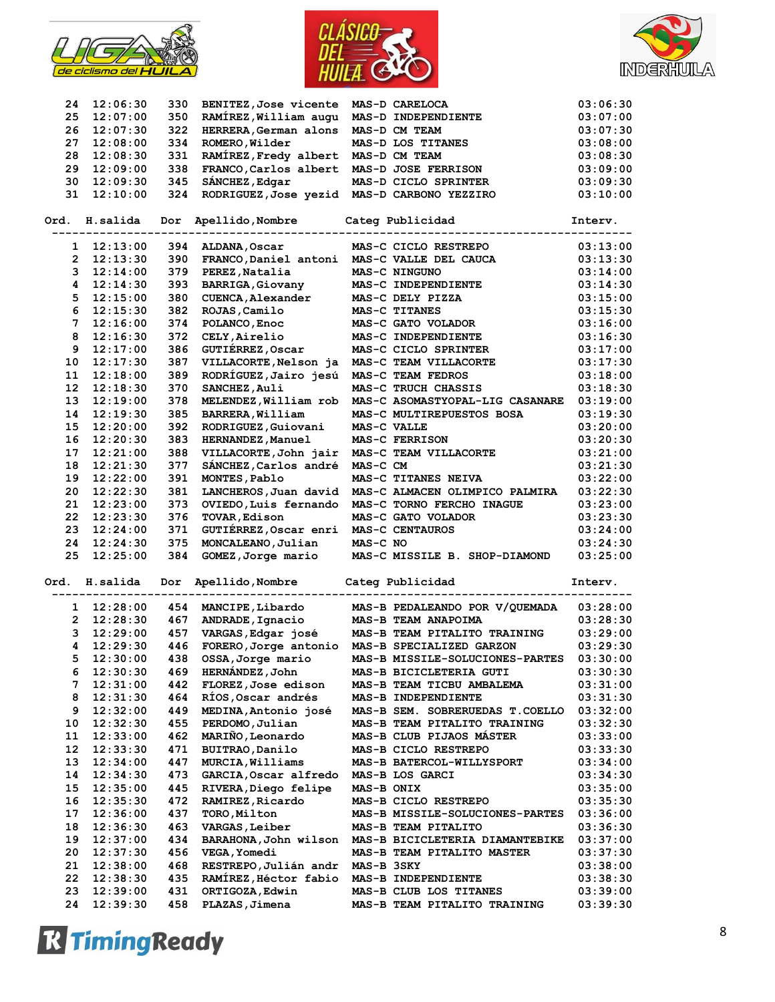





| 24           | 12:06:30           | 330 | BENITEZ, Jose vicente                 | MAS-D CARELOCA                              | 03:06:30 |
|--------------|--------------------|-----|---------------------------------------|---------------------------------------------|----------|
| 25           | 12:07:00           | 350 | RAMÍREZ, William augu                 | MAS-D INDEPENDIENTE                         | 03:07:00 |
| 26           | 12:07:30           | 322 | HERRERA, German alons                 | MAS-D CM TEAM                               | 03:07:30 |
| 27           | 12:08:00           | 334 | ROMERO, Wilder                        | MAS-D LOS TITANES                           | 03:08:00 |
| 28           | 12:08:30           | 331 | RAMÍREZ, Fredy albert                 | MAS-D CM TEAM                               | 03:08:30 |
| 29           | 12:09:00           | 338 | FRANCO, Carlos albert                 | MAS-D JOSE FERRISON                         | 03:09:00 |
| 30           | 12:09:30           | 345 | SÁNCHEZ, Edgar                        | MAS-D CICLO SPRINTER                        | 03:09:30 |
| 31           | 12:10:00           | 324 | RODRIGUEZ, Jose yezid                 | MAS-D CARBONO YEZZIRO                       | 03:10:00 |
|              |                    |     |                                       |                                             |          |
| Ord.         | H.salida           | Dor | Apellido, Nombre                      | Categ Publicidad                            | Interv.  |
| ı            | 12:13:00           | 394 | ALDANA, Oscar                         | MAS-C CICLO RESTREPO                        | 03:13:00 |
| $\mathbf{2}$ | 12:13:30           | 390 |                                       | FRANCO, Daniel antoni MAS-C VALLE DEL CAUCA | 03:13:30 |
| 3            | 12:14:00           | 379 | PEREZ, Natalia                        | MAS-C NINGUNO                               | 03:14:00 |
| 4            | 12:14:30           | 393 | BARRIGA, Giovany                      | MAS-C INDEPENDIENTE                         | 03:14:30 |
| 5            | 12:15:00           | 380 | <b>CUENCA, Alexander</b>              | MAS-C DELY PIZZA                            | 03:15:00 |
| 6            | 12:15:30           | 382 | ROJAS, Camilo                         | MAS-C TITANES                               | 03:15:30 |
| 7            |                    |     |                                       |                                             |          |
|              | 12:16:00           | 374 | POLANCO, Enoc                         | MAS-C GATO VOLADOR                          | 03:16:00 |
| 8            | 12:16:30           | 372 | CELY, Airelio                         | MAS-C INDEPENDIENTE                         | 03:16:30 |
| 9            | 12:17:00           | 386 | GUTIÉRREZ, Oscar                      | MAS-C CICLO SPRINTER                        | 03:17:00 |
| 10           | 12:17:30           | 387 |                                       | VILLACORTE, Nelson ja MAS-C TEAM VILLACORTE | 03:17:30 |
| 11           | 12:18:00           | 389 | RODRÍGUEZ, Jairo jesú                 | MAS-C TEAM FEDROS                           | 03:18:00 |
| 12           | 12:18:30           | 370 | SANCHEZ, Auli                         | MAS-C TRUCH CHASSIS                         | 03:18:30 |
| 13           | 12:19:00           | 378 | MELENDEZ, William rob                 | MAS-C ASOMASTYOPAL-LIG CASANARE             | 03:19:00 |
| 14           | 12:19:30           | 385 | BARRERA, William                      | MAS-C MULTIREPUESTOS BOSA                   | 03:19:30 |
| 15           | 12:20:00           | 392 | RODRIGUEZ, Guiovani                   | MAS-C VALLE                                 | 03:20:00 |
| 16           | 12:20:30           | 383 | HERNANDEZ, Manuel                     | MAS-C FERRISON                              | 03:20:30 |
| 17           | 12:21:00           | 388 | VILLACORTE, John jair                 | MAS-C TEAM VILLACORTE                       | 03:21:00 |
| 18           | 12:21:30           | 377 | SÁNCHEZ, Carlos andré                 | MAS-C CM                                    | 03:21:30 |
| 19           | 12:22:00           | 391 | MONTES, Pablo                         | MAS-C TITANES NEIVA                         | 03:22:00 |
| 20           | 12:22:30           | 381 | LANCHEROS, Juan david                 | MAS-C ALMACEN OLIMPICO PALMIRA              | 03:22:30 |
|              |                    |     |                                       |                                             |          |
|              |                    |     |                                       |                                             |          |
| 21           | 12:23:00           | 373 | OVIEDO, Luis fernando                 | MAS-C TORNO FERCHO INAGUE                   | 03:23:00 |
| 22           | 12:23:30           | 376 | TOVAR, Edison                         | MAS-C GATO VOLADOR                          | 03:23:30 |
| 23           | 12:24:00           | 371 | GUTIÉRREZ, Oscar enri MAS-C CENTAUROS |                                             | 03:24:00 |
| 24           | 12:24:30           | 375 | MONCALEANO, Julian                    | MAS-C NO                                    | 03:24:30 |
| 25           | 12:25:00           | 384 | GOMEZ, Jorge mario                    | MAS-C MISSILE B. SHOP-DIAMOND               | 03:25:00 |
| Ord.         | H.salida           |     | Dor Apellido, Nombre                  | Categ Publicidad                            | Interv.  |
|              |                    |     |                                       |                                             |          |
|              | $1 \quad 12:28:00$ | 454 | <b>MANCIPE, Libardo</b>               | MAS-B PEDALEANDO POR V/QUEMADA              | 03:28:00 |
| $\mathbf{2}$ | 12:28:30           | 467 | ANDRADE, Ignacio                      | MAS-B TEAM ANAPOIMA                         | 03:28:30 |
| 3            | 12:29:00           | 457 | VARGAS, Edgar josé                    | MAS-B TEAM PITALITO TRAINING                | 03:29:00 |
| 4            | 12:29:30           | 446 | FORERO, Jorge antonio                 | MAS-B SPECIALIZED GARZON                    | 03:29:30 |
| 5            | 12:30:00           | 438 | OSSA, Jorge mario                     | MAS-B MISSILE-SOLUCIONES-PARTES             | 03:30:00 |
| 6            | 12:30:30           | 469 | HERNÁNDEZ, John                       | MAS-B BICICLETERIA GUTI                     | 03:30:30 |
| 7            | 12:31:00           | 442 | FLOREZ, Jose edison                   | MAS-B TEAM TICBU AMBALEMA                   | 03:31:00 |
| 8            | 12:31:30           | 464 | RÍOS, Oscar andrés                    | MAS-B INDEPENDIENTE                         | 03:31:30 |
| 9            | 12:32:00           | 449 | MEDINA, Antonio josé                  | MAS-B SEM. SOBRERUEDAS T.COELLO             | 03:32:00 |
| 10           | 12:32:30           | 455 | PERDOMO, Julian                       | MAS-B TEAM PITALITO TRAINING                | 03:32:30 |
| 11           | 12:33:00           | 462 | MARIÑO, Leonardo                      | MAS-B CLUB PIJAOS MÁSTER                    | 03:33:00 |
| 12           | 12:33:30           | 471 | BUITRAO, Danilo                       | MAS-B CICLO RESTREPO                        | 03:33:30 |
| 13           | 12:34:00           | 447 | MURCIA, Williams                      | MAS-B BATERCOL-WILLYSPORT                   | 03:34:00 |
| 14           | 12:34:30           | 473 | GARCIA, Oscar alfredo                 | MAS-B LOS GARCI                             | 03:34:30 |
| 15           | 12:35:00           | 445 | RIVERA, Diego felipe                  | MAS-B ONIX                                  | 03:35:00 |
| 16           | 12:35:30           | 472 | RAMIREZ, Ricardo                      | MAS-B CICLO RESTREPO                        | 03:35:30 |
| 17           | 12:36:00           | 437 | TORO, Milton                          | MAS-B MISSILE-SOLUCIONES-PARTES             | 03:36:00 |
| 18           | 12:36:30           | 463 | VARGAS, Leiber                        | MAS-B TEAM PITALITO                         | 03:36:30 |
| 19           | 12:37:00           | 434 | BARAHONA, John wilson                 | MAS-B BICICLETERIA DIAMANTEBIKE             | 03:37:00 |
| 20           | 12:37:30           | 456 | VEGA, Yomedi                          | MAS-B TEAM PITALITO MASTER                  | 03:37:30 |
| 21           | 12:38:00           | 468 | RESTREPO, Julián andr                 | MAS-B 3SKY                                  | 03:38:00 |
| 22           | 12:38:30           | 435 | RAMÍREZ, Héctor fabio                 | MAS-B INDEPENDIENTE                         | 03:38:30 |
| 23           | 12:39:00           | 431 | <b>ORTIGOZA, Edwin</b>                | MAS-B CLUB LOS TITANES                      | 03:39:00 |

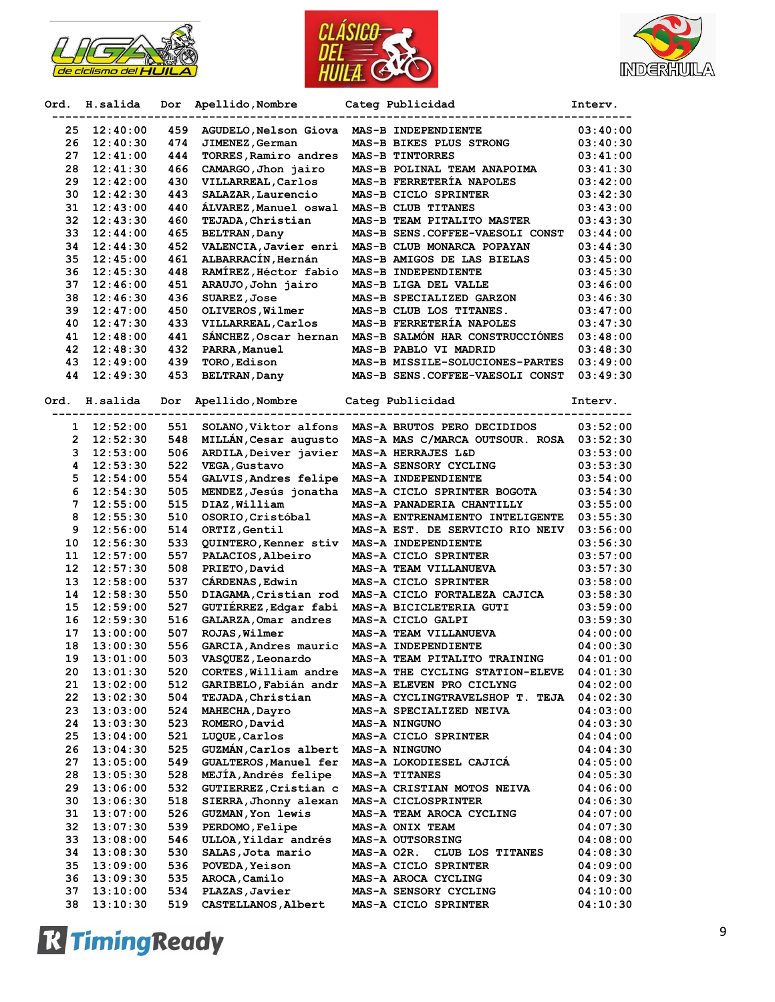





| Ord.         | H.salida | Dor | Apellido, Nombre         | Categ Publicidad                 | Interv.  |
|--------------|----------|-----|--------------------------|----------------------------------|----------|
|              |          |     |                          |                                  |          |
| 25           | 12:40:00 | 459 | AGUDELO, Nelson Giova    | MAS-B INDEPENDIENTE              | 03:40:00 |
| 26           | 12:40:30 | 474 | JIMENEZ, German          | MAS-B BIKES PLUS STRONG          | 03:40:30 |
| 27           | 12:41:00 | 444 | TORRES, Ramiro andres    | MAS-B TINTORRES                  | 03:41:00 |
| 28           | 12:41:30 | 466 | CAMARGO, Jhon jairo      | MAS-B POLINAL TEAM ANAPOIMA      | 03:41:30 |
| 29           |          | 430 |                          |                                  |          |
|              | 12:42:00 |     | VILLARREAL, Carlos       | MAS-B FERRETERÍA NAPOLES         | 03:42:00 |
| 30           | 12:42:30 | 443 | SALAZAR, Laurencio       | MAS-B CICLO SPRINTER             | 03:42:30 |
| 31           | 12:43:00 | 440 | ALVAREZ, Manuel oswal    | MAS-B CLUB TITANES               | 03:43:00 |
| 32           | 12:43:30 | 460 | TEJADA, Christian        | MAS-B TEAM PITALITO MASTER       | 03:43:30 |
| 33           | 12:44:00 | 465 | <b>BELTRAN, Dany</b>     | MAS-B SENS. COFFEE-VAESOLI CONST | 03:44:00 |
| 34           | 12:44:30 | 452 | VALENCIA, Javier enri    | MAS-B CLUB MONARCA POPAYAN       | 03:44:30 |
| 35           | 12:45:00 | 461 | ALBARRACÍN, Hernán       | MAS-B AMIGOS DE LAS BIELAS       | 03:45:00 |
| 36           | 12:45:30 | 448 | RAMÍREZ, Héctor fabio    | MAS-B INDEPENDIENTE              | 03:45:30 |
| 37           | 12:46:00 | 451 | ARAUJO, John jairo       | MAS-B LIGA DEL VALLE             | 03:46:00 |
| 38           | 12:46:30 | 436 | SUAREZ, Jose             | MAS-B SPECIALIZED GARZON         | 03:46:30 |
| 39           | 12:47:00 | 450 | OLIVEROS, Wilmer         | MAS-B CLUB LOS TITANES.          | 03:47:00 |
| 40           | 12:47:30 | 433 | VILLARREAL, Carlos       | MAS-B FERRETERÍA NAPOLES         | 03:47:30 |
| 41           | 12:48:00 | 441 | SÁNCHEZ, Oscar hernan    | MAS-B SALMÓN HAR CONSTRUCCIÓNES  | 03:48:00 |
| 42           | 12:48:30 | 432 | PARRA, Manuel            | MAS-B PABLO VI MADRID            | 03:48:30 |
|              |          |     | TORO, Edison             |                                  |          |
| 43           | 12:49:00 | 439 |                          | MAS-B MISSILE-SOLUCIONES-PARTES  | 03:49:00 |
| 44           | 12:49:30 | 453 | <b>BELTRAN, Dany</b>     | MAS-B SENS. COFFEE-VAESOLI CONST | 03:49:30 |
| Ord.         | H.salida |     | Apellido, Nombre         | Categ Publicidad                 |          |
|              |          | Dor |                          |                                  | Interv.  |
| 1            | 12:52:00 | 551 | SOLANO, Viktor alfons    | MAS-A BRUTOS PERO DECIDIDOS      | 03:52:00 |
| $\mathbf{2}$ | 12:52:30 | 548 | MILLÁN, Cesar augusto    | MAS-A MAS C/MARCA OUTSOUR. ROSA  | 03:52:30 |
| 3            | 12:53:00 | 506 | ARDILA, Deiver javier    | MAS-A HERRAJES L&D               | 03:53:00 |
| 4            | 12:53:30 | 522 | VEGA, Gustavo            | MAS-A SENSORY CYCLING            | 03:53:30 |
| 5            | 12:54:00 | 554 | GALVIS, Andres felipe    | MAS-A INDEPENDIENTE              | 03:54:00 |
| 6            | 12:54:30 | 505 | MENDEZ, Jesús jonatha    | MAS-A CICLO SPRINTER BOGOTA      | 03:54:30 |
| 7            | 12:55:00 | 515 | DIAZ, William            | MAS-A PANADERIA CHANTILLY        | 03:55:00 |
|              |          |     |                          |                                  |          |
| 8            | 12:55:30 | 510 | OSORIO, Cristóbal        | MAS-A ENTRENAMIENTO INTELIGENTE  | 03:55:30 |
| 9            | 12:56:00 | 514 | ORTIZ, Gentil            | MAS-A EST. DE SERVICIO RIO NEIV  | 03:56:00 |
| 10           | 12:56:30 | 533 | QUINTERO, Kenner stiv    | MAS-A INDEPENDIENTE              | 03:56:30 |
| 11           | 12:57:00 | 557 | PALACIOS, Albeiro        | MAS-A CICLO SPRINTER             | 03:57:00 |
| 12           | 12:57:30 | 508 | PRIETO, David            | MAS-A TEAM VILLANUEVA            | 03:57:30 |
| 13           | 12:58:00 | 537 | CÁRDENAS, Edwin          | MAS-A CICLO SPRINTER             | 03:58:00 |
| 14           | 12:58:30 | 550 | DIAGAMA, Cristian rod    | MAS-A CICLO FORTALEZA CAJICA     | 03:58:30 |
| 15           | 12:59:00 | 527 | GUTIÉRREZ, Edgar fabi    | MAS-A BICICLETERIA GUTI          | 03:59:00 |
| 16           | 12:59:30 | 516 | GALARZA, Omar andres     | MAS-A CICLO GALPI                | 03:59:30 |
| 17           | 13:00:00 | 507 | ROJAS, Wilmer            | MAS-A TEAM VILLANUEVA            | 04:00:00 |
| 18           | 13:00:30 | 556 | GARCIA, Andres mauric    | MAS-A INDEPENDIENTE              | 04:00:30 |
| 19           | 13:01:00 | 503 | VASQUEZ, Leonardo        | MAS-A TEAM PITALITO TRAINING     | 04:01:00 |
| 20           | 13:01:30 | 520 | CORTES, William andre    | MAS-A THE CYCLING STATION-ELEVE  | 04:01:30 |
| 21           | 13:02:00 | 512 | GARIBELO, Fabián andr    | MAS-A ELEVEN PRO CICLYNG         | 04:02:00 |
| 22           | 13:02:30 | 504 | TEJADA, Christian        | MAS-A CYCLINGTRAVELSHOP T. TEJA  | 04:02:30 |
| 23           |          | 524 | MAHECHA, Dayro           |                                  | 04:03:00 |
|              | 13:03:00 |     |                          | MAS-A SPECIALIZED NEIVA          |          |
| 24           | 13:03:30 | 523 | ROMERO, David            | MAS-A NINGUNO                    | 04:03:30 |
| 25           | 13:04:00 | 521 | LUQUE, Carlos            | MAS-A CICLO SPRINTER             | 04:04:00 |
| 26           | 13:04:30 | 525 | GUZMÁN, Carlos albert    | MAS-A NINGUNO                    | 04:04:30 |
| 27           | 13:05:00 | 549 | GUALTEROS, Manuel fer    | MAS-A LOKODIESEL CAJICA          | 04:05:00 |
| 28           | 13:05:30 | 528 | MEJÍA, Andrés felipe     | MAS-A TITANES                    | 04:05:30 |
| 29           | 13:06:00 | 532 | GUTIERREZ, Cristian c    | MAS-A CRISTIAN MOTOS NEIVA       | 04:06:00 |
| 30           | 13:06:30 | 518 | SIERRA, Jhonny alexan    | MAS-A CICLOSPRINTER              | 04:06:30 |
| 31           | 13:07:00 | 526 | <b>GUZMAN, Yon lewis</b> | MAS-A TEAM AROCA CYCLING         | 04:07:00 |
| 32           | 13:07:30 | 539 | PERDOMO, Felipe          | MAS-A ONIX TEAM                  | 04:07:30 |
| 33           | 13:08:00 | 546 | ULLOA, Yildar andrés     | MAS-A OUTSORSING                 | 04:08:00 |
| 34           | 13:08:30 | 530 | SALAS, Jota mario        | MAS-A O2R.<br>CLUB LOS TITANES   | 04:08:30 |
| 35           | 13:09:00 | 536 | POVEDA, Yeison           | MAS-A CICLO SPRINTER             | 04:09:00 |
| 36           | 13:09:30 | 535 | AROCA, Camilo            | MAS-A AROCA CYCLING              | 04:09:30 |
| 37           | 13:10:00 | 534 | PLAZAS, Javier           | MAS-A SENSORY CYCLING            | 04:10:00 |
| 38           | 13:10:30 | 519 | CASTELLANOS, Albert      | MAS-A CICLO SPRINTER             | 04:10:30 |
|              |          |     |                          |                                  |          |